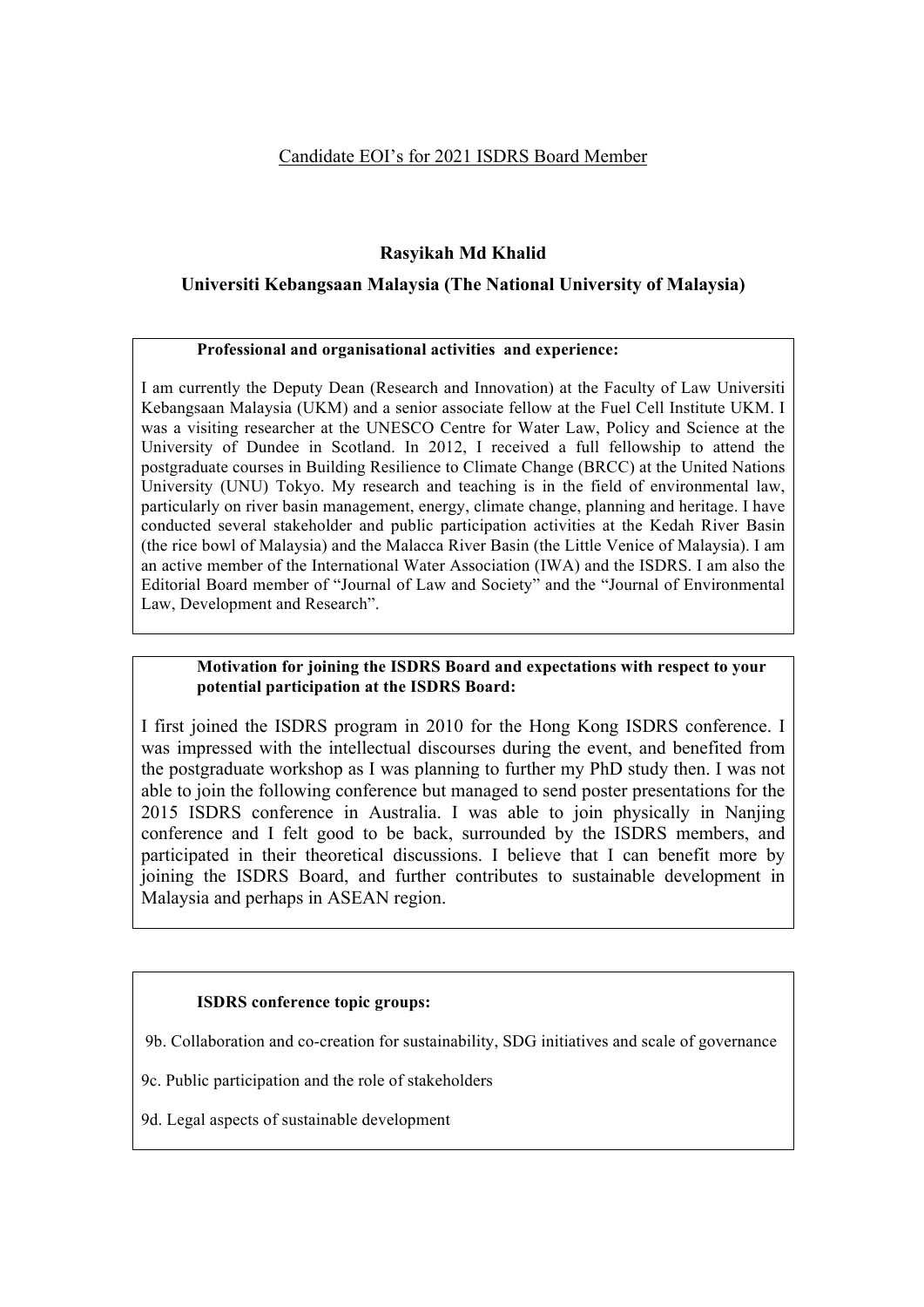# Candidate EOI's for 2021 ISDRS Board Member

# **Rasyikah Md Khalid**

# **Universiti Kebangsaan Malaysia (The National University of Malaysia)**

#### **Professional and organisational activities and experience:**

I am currently the Deputy Dean (Research and Innovation) at the Faculty of Law Universiti Kebangsaan Malaysia (UKM) and a senior associate fellow at the Fuel Cell Institute UKM. I was a visiting researcher at the UNESCO Centre for Water Law, Policy and Science at the University of Dundee in Scotland. In 2012, I received a full fellowship to attend the postgraduate courses in Building Resilience to Climate Change (BRCC) at the United Nations University (UNU) Tokyo. My research and teaching is in the field of environmental law, particularly on river basin management, energy, climate change, planning and heritage. I have conducted several stakeholder and public participation activities at the Kedah River Basin (the rice bowl of Malaysia) and the Malacca River Basin (the Little Venice of Malaysia). I am an active member of the International Water Association (IWA) and the ISDRS. I am also the Editorial Board member of "Journal of Law and Society" and the "Journal of Environmental Law, Development and Research".

#### **Motivation for joining the ISDRS Board and expectations with respect to your potential participation at the ISDRS Board:**

I first joined the ISDRS program in 2010 for the Hong Kong ISDRS conference. I was impressed with the intellectual discourses during the event, and benefited from the postgraduate workshop as I was planning to further my PhD study then. I was not able to join the following conference but managed to send poster presentations for the 2015 ISDRS conference in Australia. I was able to join physically in Nanjing conference and I felt good to be back, surrounded by the ISDRS members, and participated in their theoretical discussions. I believe that I can benefit more by joining the ISDRS Board, and further contributes to sustainable development in Malaysia and perhaps in ASEAN region.

## **ISDRS conference topic groups:**

9b. Collaboration and co-creation for sustainability, SDG initiatives and scale of governance

9c. Public participation and the role of stakeholders

9d. Legal aspects of sustainable development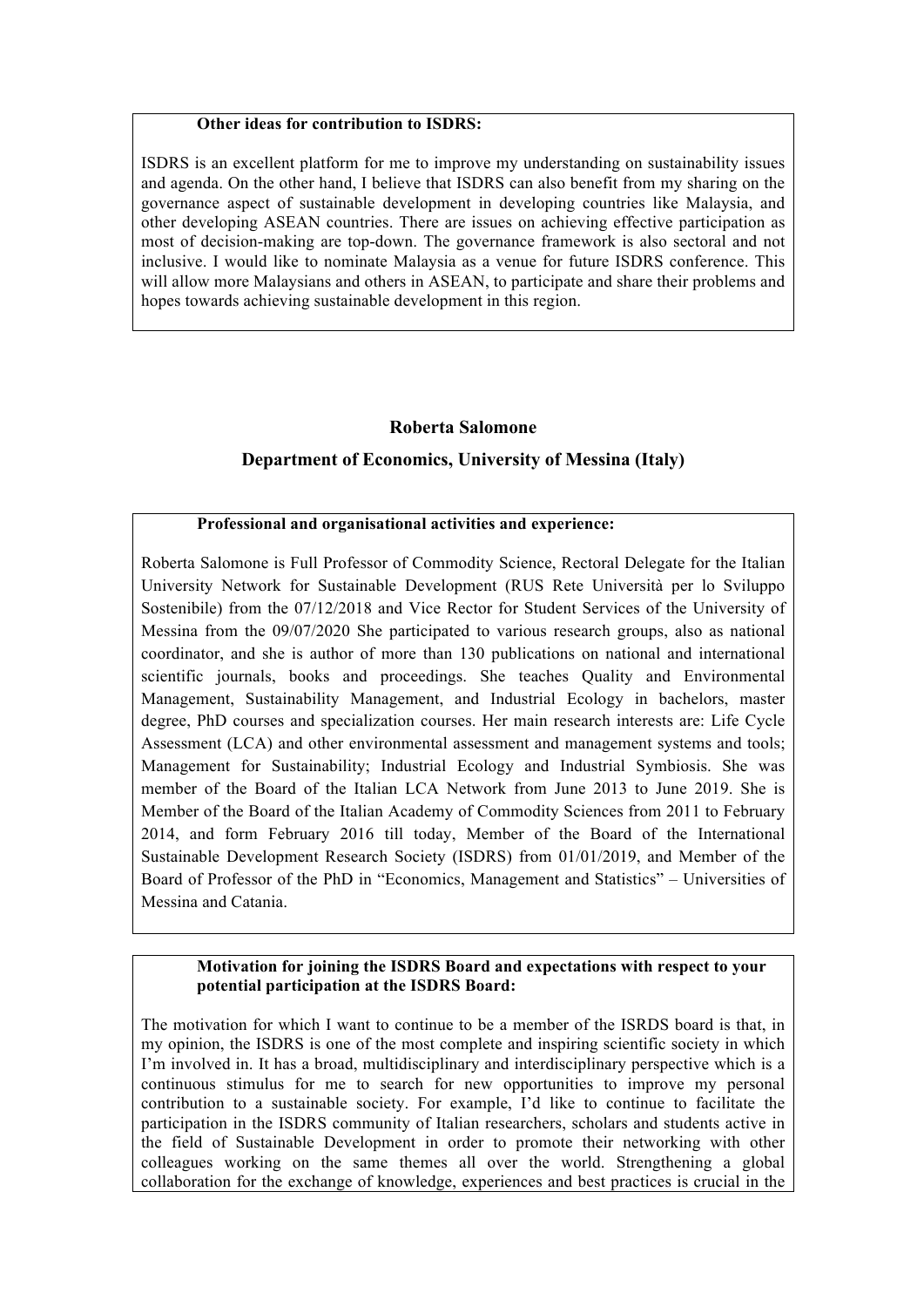#### **Other ideas for contribution to ISDRS:**

ISDRS is an excellent platform for me to improve my understanding on sustainability issues and agenda. On the other hand, I believe that ISDRS can also benefit from my sharing on the governance aspect of sustainable development in developing countries like Malaysia, and other developing ASEAN countries. There are issues on achieving effective participation as most of decision-making are top-down. The governance framework is also sectoral and not inclusive. I would like to nominate Malaysia as a venue for future ISDRS conference. This will allow more Malaysians and others in ASEAN, to participate and share their problems and hopes towards achieving sustainable development in this region.

# **Roberta Salomone**

# **Department of Economics, University of Messina (Italy)**

#### **Professional and organisational activities and experience:**

Roberta Salomone is Full Professor of Commodity Science, Rectoral Delegate for the Italian University Network for Sustainable Development (RUS Rete Università per lo Sviluppo Sostenibile) from the 07/12/2018 and Vice Rector for Student Services of the University of Messina from the 09/07/2020 She participated to various research groups, also as national coordinator, and she is author of more than 130 publications on national and international scientific journals, books and proceedings. She teaches Quality and Environmental Management, Sustainability Management, and Industrial Ecology in bachelors, master degree, PhD courses and specialization courses. Her main research interests are: Life Cycle Assessment (LCA) and other environmental assessment and management systems and tools; Management for Sustainability; Industrial Ecology and Industrial Symbiosis. She was member of the Board of the Italian LCA Network from June 2013 to June 2019. She is Member of the Board of the Italian Academy of Commodity Sciences from 2011 to February 2014, and form February 2016 till today, Member of the Board of the International Sustainable Development Research Society (ISDRS) from 01/01/2019, and Member of the Board of Professor of the PhD in "Economics, Management and Statistics" – Universities of Messina and Catania.

## **Motivation for joining the ISDRS Board and expectations with respect to your potential participation at the ISDRS Board:**

The motivation for which I want to continue to be a member of the ISRDS board is that, in my opinion, the ISDRS is one of the most complete and inspiring scientific society in which I'm involved in. It has a broad, multidisciplinary and interdisciplinary perspective which is a continuous stimulus for me to search for new opportunities to improve my personal contribution to a sustainable society. For example, I'd like to continue to facilitate the participation in the ISDRS community of Italian researchers, scholars and students active in the field of Sustainable Development in order to promote their networking with other colleagues working on the same themes all over the world. Strengthening a global collaboration for the exchange of knowledge, experiences and best practices is crucial in the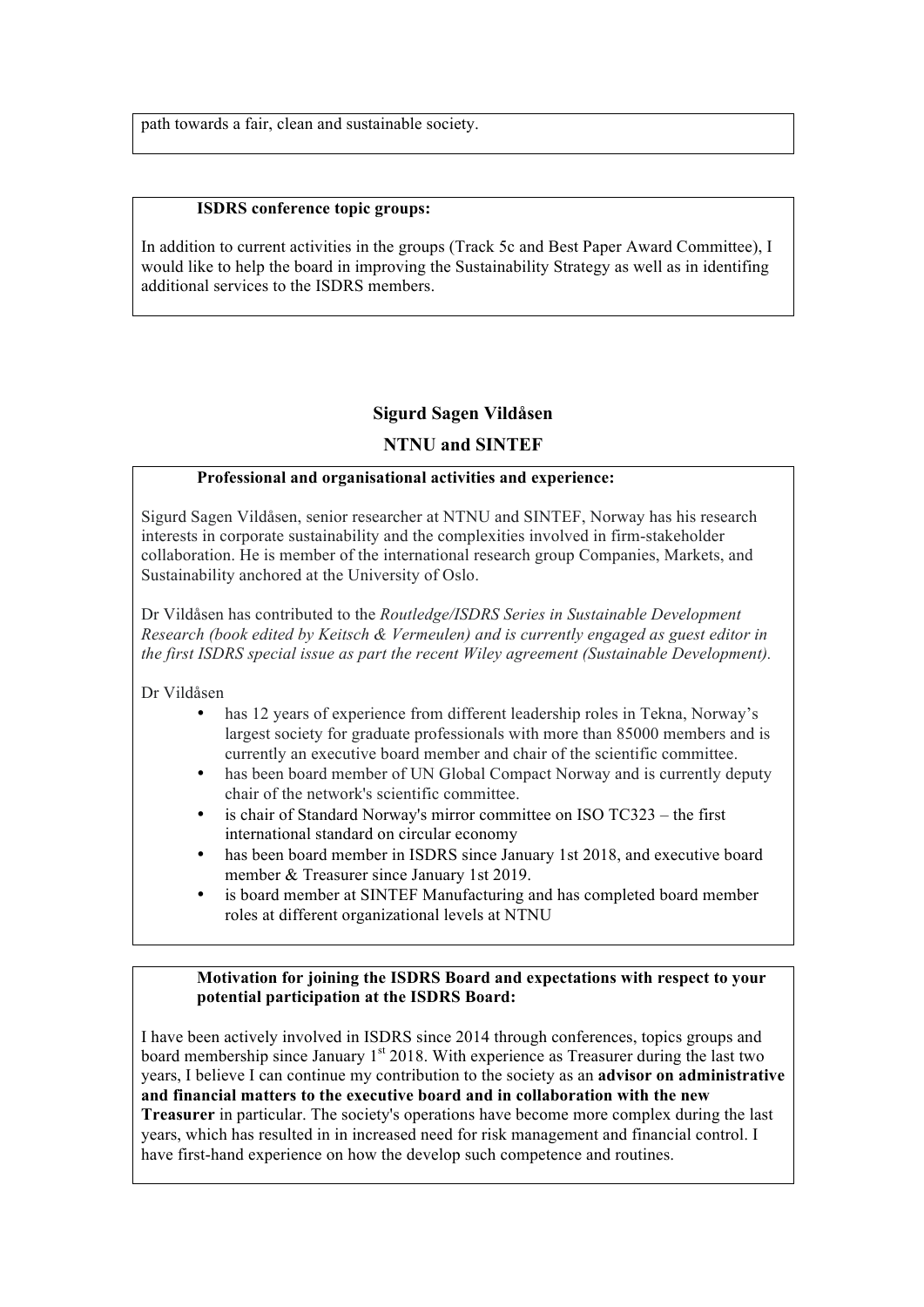path towards a fair, clean and sustainable society.

#### **ISDRS conference topic groups:**

In addition to current activities in the groups (Track 5c and Best Paper Award Committee), I would like to help the board in improving the Sustainability Strategy as well as in identifing additional services to the ISDRS members.

## **Sigurd Sagen Vildåsen**

## **NTNU and SINTEF**

## **Professional and organisational activities and experience:**

Sigurd Sagen Vildåsen, senior researcher at NTNU and SINTEF, Norway has his research interests in corporate sustainability and the complexities involved in firm-stakeholder collaboration. He is member of the international research group Companies, Markets, and Sustainability anchored at the University of Oslo.

Dr Vildåsen has contributed to the *Routledge/ISDRS Series in Sustainable Development Research (book edited by Keitsch & Vermeulen) and is currently engaged as guest editor in the first ISDRS special issue as part the recent Wiley agreement (Sustainable Development).*

Dr Vildåsen

- has 12 years of experience from different leadership roles in Tekna, Norway's largest society for graduate professionals with more than 85000 members and is currently an executive board member and chair of the scientific committee.
- has been board member of UN Global Compact Norway and is currently deputy chair of the network's scientific committee.
- is chair of Standard Norway's mirror committee on ISO TC323 the first international standard on circular economy
- has been board member in ISDRS since January 1st 2018, and executive board member & Treasurer since January 1st 2019.
- is board member at SINTEF Manufacturing and has completed board member roles at different organizational levels at NTNU

#### **Motivation for joining the ISDRS Board and expectations with respect to your potential participation at the ISDRS Board:**

I have been actively involved in ISDRS since 2014 through conferences, topics groups and board membership since January 1<sup>st</sup> 2018. With experience as Treasurer during the last two years, I believe I can continue my contribution to the society as an **advisor on administrative and financial matters to the executive board and in collaboration with the new Treasurer** in particular. The society's operations have become more complex during the last years, which has resulted in in increased need for risk management and financial control. I have first-hand experience on how the develop such competence and routines.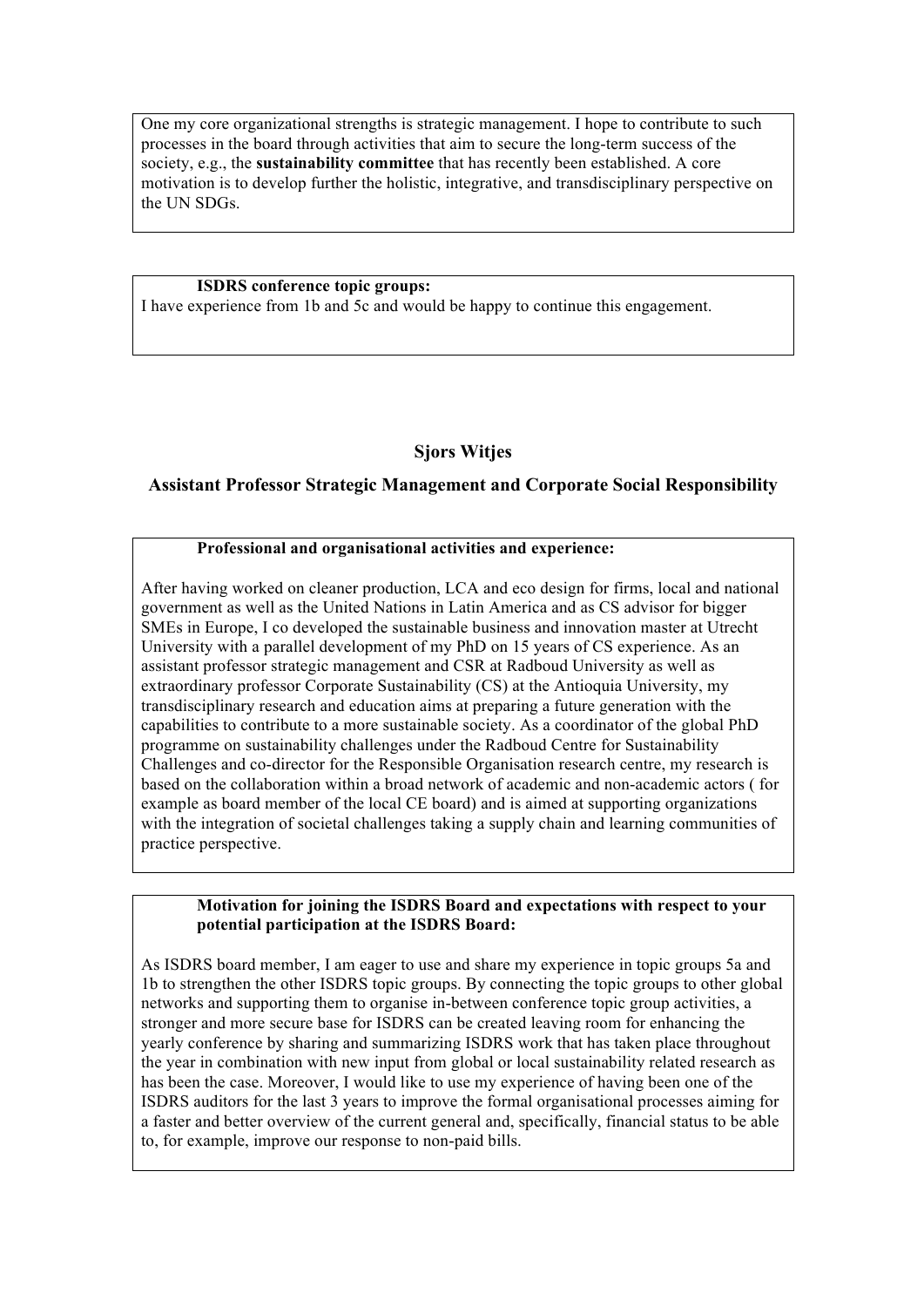One my core organizational strengths is strategic management. I hope to contribute to such processes in the board through activities that aim to secure the long-term success of the society, e.g., the **sustainability committee** that has recently been established. A core motivation is to develop further the holistic, integrative, and transdisciplinary perspective on the UN SDGs.

#### **ISDRS conference topic groups:**

I have experience from 1b and 5c and would be happy to continue this engagement.

# **Sjors Witjes**

## **Assistant Professor Strategic Management and Corporate Social Responsibility**

#### **Professional and organisational activities and experience:**

After having worked on cleaner production, LCA and eco design for firms, local and national government as well as the United Nations in Latin America and as CS advisor for bigger SMEs in Europe, I co developed the sustainable business and innovation master at Utrecht University with a parallel development of my PhD on 15 years of CS experience. As an assistant professor strategic management and CSR at Radboud University as well as extraordinary professor Corporate Sustainability (CS) at the Antioquia University, my transdisciplinary research and education aims at preparing a future generation with the capabilities to contribute to a more sustainable society. As a coordinator of the global PhD programme on sustainability challenges under the Radboud Centre for Sustainability Challenges and co-director for the Responsible Organisation research centre, my research is based on the collaboration within a broad network of academic and non-academic actors ( for example as board member of the local CE board) and is aimed at supporting organizations with the integration of societal challenges taking a supply chain and learning communities of practice perspective.

#### **Motivation for joining the ISDRS Board and expectations with respect to your potential participation at the ISDRS Board:**

As ISDRS board member, I am eager to use and share my experience in topic groups 5a and 1b to strengthen the other ISDRS topic groups. By connecting the topic groups to other global networks and supporting them to organise in-between conference topic group activities, a stronger and more secure base for ISDRS can be created leaving room for enhancing the yearly conference by sharing and summarizing ISDRS work that has taken place throughout the year in combination with new input from global or local sustainability related research as has been the case. Moreover, I would like to use my experience of having been one of the ISDRS auditors for the last 3 years to improve the formal organisational processes aiming for a faster and better overview of the current general and, specifically, financial status to be able to, for example, improve our response to non-paid bills.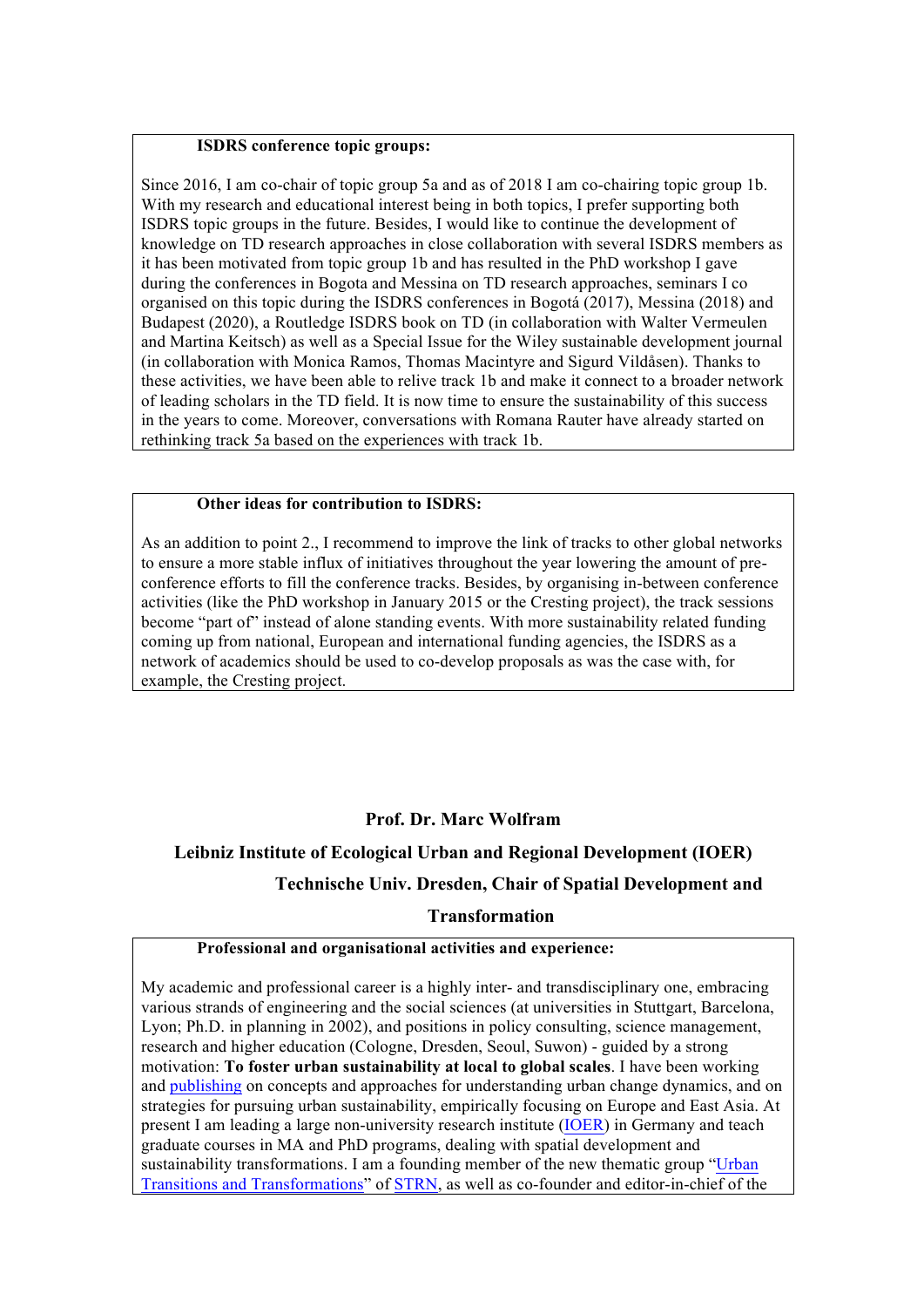### **ISDRS conference topic groups:**

Since 2016, I am co-chair of topic group 5a and as of 2018 I am co-chairing topic group 1b. With my research and educational interest being in both topics. I prefer supporting both ISDRS topic groups in the future. Besides, I would like to continue the development of knowledge on TD research approaches in close collaboration with several ISDRS members as it has been motivated from topic group 1b and has resulted in the PhD workshop I gave during the conferences in Bogota and Messina on TD research approaches, seminars I co organised on this topic during the ISDRS conferences in Bogotá (2017), Messina (2018) and Budapest (2020), a Routledge ISDRS book on TD (in collaboration with Walter Vermeulen and Martina Keitsch) as well as a Special Issue for the Wiley sustainable development journal (in collaboration with Monica Ramos, Thomas Macintyre and Sigurd Vildåsen). Thanks to these activities, we have been able to relive track 1b and make it connect to a broader network of leading scholars in the TD field. It is now time to ensure the sustainability of this success in the years to come. Moreover, conversations with Romana Rauter have already started on rethinking track 5a based on the experiences with track 1b.

# **Other ideas for contribution to ISDRS:**

As an addition to point 2., I recommend to improve the link of tracks to other global networks to ensure a more stable influx of initiatives throughout the year lowering the amount of preconference efforts to fill the conference tracks. Besides, by organising in-between conference activities (like the PhD workshop in January 2015 or the Cresting project), the track sessions become "part of" instead of alone standing events. With more sustainability related funding coming up from national, European and international funding agencies, the ISDRS as a network of academics should be used to co-develop proposals as was the case with, for example, the Cresting project.

## **Prof. Dr. Marc Wolfram**

# **Leibniz Institute of Ecological Urban and Regional Development (IOER)**

## **Technische Univ. Dresden, Chair of Spatial Development and**

#### **Transformation**

#### **Professional and organisational activities and experience:**

My academic and professional career is a highly inter- and transdisciplinary one, embracing various strands of engineering and the social sciences (at universities in Stuttgart, Barcelona, Lyon; Ph.D. in planning in 2002), and positions in policy consulting, science management, research and higher education (Cologne, Dresden, Seoul, Suwon) - guided by a strong motivation: **To foster urban sustainability at local to global scales**. I have been working and publishing on concepts and approaches for understanding urban change dynamics, and on strategies for pursuing urban sustainability, empirically focusing on Europe and East Asia. At present I am leading a large non-university research institute (IOER) in Germany and teach graduate courses in MA and PhD programs, dealing with spatial development and sustainability transformations. I am a founding member of the new thematic group "Urban Transitions and Transformations" of STRN, as well as co-founder and editor-in-chief of the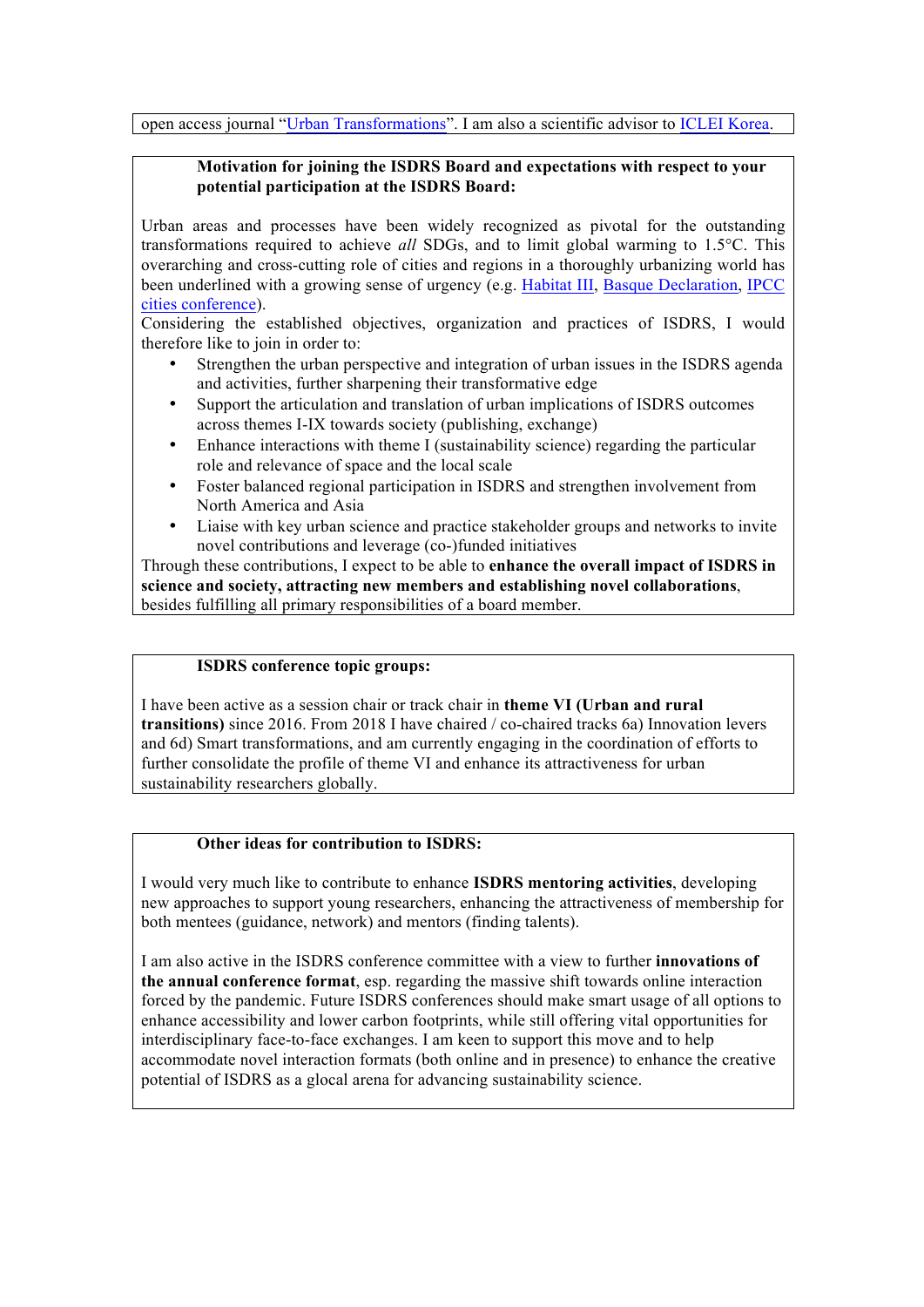open access journal "Urban Transformations". I am also a scientific advisor to ICLEI Korea.

## **Motivation for joining the ISDRS Board and expectations with respect to your potential participation at the ISDRS Board:**

Urban areas and processes have been widely recognized as pivotal for the outstanding transformations required to achieve *all* SDGs, and to limit global warming to 1.5°C. This overarching and cross-cutting role of cities and regions in a thoroughly urbanizing world has been underlined with a growing sense of urgency (e.g. Habitat III, Basque Declaration, IPCC cities conference).

Considering the established objectives, organization and practices of ISDRS, I would therefore like to join in order to:

- Strengthen the urban perspective and integration of urban issues in the ISDRS agenda and activities, further sharpening their transformative edge
- Support the articulation and translation of urban implications of ISDRS outcomes across themes I-IX towards society (publishing, exchange)
- Enhance interactions with theme I (sustainability science) regarding the particular role and relevance of space and the local scale
- Foster balanced regional participation in ISDRS and strengthen involvement from North America and Asia
- Liaise with key urban science and practice stakeholder groups and networks to invite novel contributions and leverage (co-)funded initiatives

Through these contributions, I expect to be able to **enhance the overall impact of ISDRS in science and society, attracting new members and establishing novel collaborations**, besides fulfilling all primary responsibilities of a board member.

#### **ISDRS conference topic groups:**

I have been active as a session chair or track chair in **theme VI (Urban and rural transitions)** since 2016. From 2018 I have chaired / co-chaired tracks 6a) Innovation levers and 6d) Smart transformations, and am currently engaging in the coordination of efforts to further consolidate the profile of theme VI and enhance its attractiveness for urban sustainability researchers globally.

## **Other ideas for contribution to ISDRS:**

I would very much like to contribute to enhance **ISDRS mentoring activities**, developing new approaches to support young researchers, enhancing the attractiveness of membership for both mentees (guidance, network) and mentors (finding talents).

I am also active in the ISDRS conference committee with a view to further **innovations of the annual conference format**, esp. regarding the massive shift towards online interaction forced by the pandemic. Future ISDRS conferences should make smart usage of all options to enhance accessibility and lower carbon footprints, while still offering vital opportunities for interdisciplinary face-to-face exchanges. I am keen to support this move and to help accommodate novel interaction formats (both online and in presence) to enhance the creative potential of ISDRS as a glocal arena for advancing sustainability science.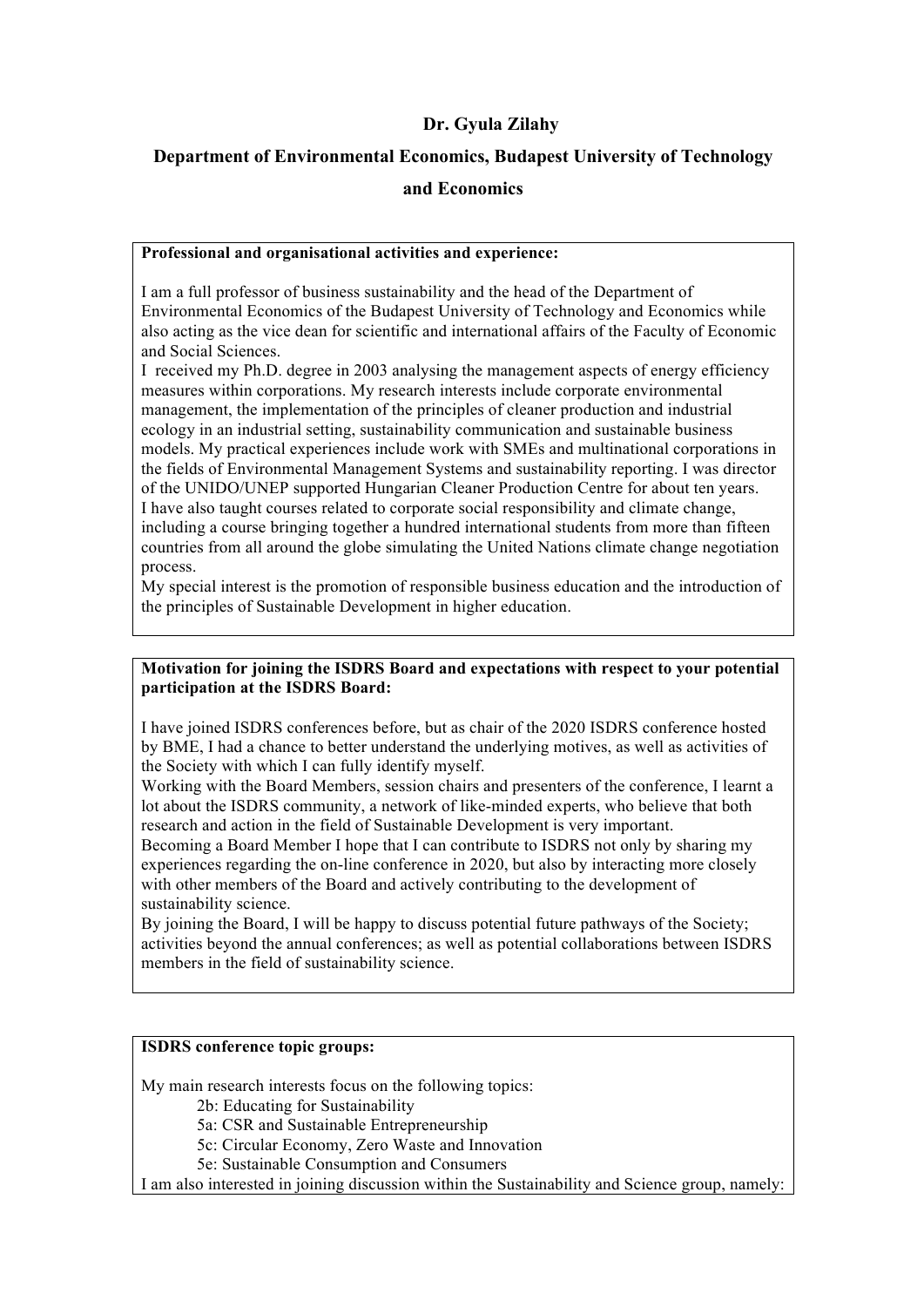# **Dr. Gyula Zilahy**

# **Department of Environmental Economics, Budapest University of Technology and Economics**

## **Professional and organisational activities and experience:**

I am a full professor of business sustainability and the head of the Department of Environmental Economics of the Budapest University of Technology and Economics while also acting as the vice dean for scientific and international affairs of the Faculty of Economic and Social Sciences.

I received my Ph.D. degree in 2003 analysing the management aspects of energy efficiency measures within corporations. My research interests include corporate environmental management, the implementation of the principles of cleaner production and industrial ecology in an industrial setting, sustainability communication and sustainable business models. My practical experiences include work with SMEs and multinational corporations in the fields of Environmental Management Systems and sustainability reporting. I was director of the UNIDO/UNEP supported Hungarian Cleaner Production Centre for about ten years. I have also taught courses related to corporate social responsibility and climate change, including a course bringing together a hundred international students from more than fifteen countries from all around the globe simulating the United Nations climate change negotiation process.

My special interest is the promotion of responsible business education and the introduction of the principles of Sustainable Development in higher education.

## **Motivation for joining the ISDRS Board and expectations with respect to your potential participation at the ISDRS Board:**

I have joined ISDRS conferences before, but as chair of the 2020 ISDRS conference hosted by BME, I had a chance to better understand the underlying motives, as well as activities of the Society with which I can fully identify myself.

Working with the Board Members, session chairs and presenters of the conference, I learnt a lot about the ISDRS community, a network of like-minded experts, who believe that both research and action in the field of Sustainable Development is very important.

Becoming a Board Member I hope that I can contribute to ISDRS not only by sharing my experiences regarding the on-line conference in 2020, but also by interacting more closely with other members of the Board and actively contributing to the development of sustainability science.

By joining the Board, I will be happy to discuss potential future pathways of the Society; activities beyond the annual conferences; as well as potential collaborations between ISDRS members in the field of sustainability science.

## **ISDRS conference topic groups:**

My main research interests focus on the following topics:

2b: Educating for Sustainability

- 5a: CSR and Sustainable Entrepreneurship
- 5c: Circular Economy, Zero Waste and Innovation
- 5e: Sustainable Consumption and Consumers

I am also interested in joining discussion within the Sustainability and Science group, namely: